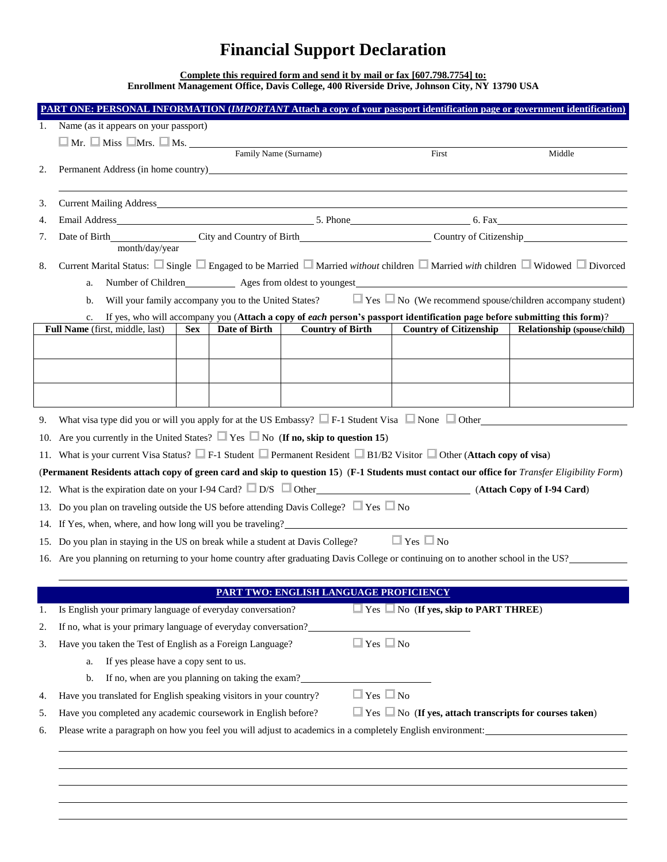## **Financial Support Declaration**

**Complete this required form and send it by mail or fax [607.798.7754] to: Enrollment Management Office, Davis College, 400 Riverside Drive, Johnson City, NY 13790 USA**

|    | PART ONE: PERSONAL INFORMATION (IMPORTANT Attach a copy of your passport identification page or government identification)                                                                                                     |                                                |                                                                     |                             |
|----|--------------------------------------------------------------------------------------------------------------------------------------------------------------------------------------------------------------------------------|------------------------------------------------|---------------------------------------------------------------------|-----------------------------|
| 1. | Name (as it appears on your passport)                                                                                                                                                                                          |                                                |                                                                     |                             |
|    | $\Box$ Mr. $\Box$ Miss $\Box$ Mrs. $\Box$ Ms. $\Box$ Family Name (Surname)                                                                                                                                                     |                                                |                                                                     |                             |
|    |                                                                                                                                                                                                                                |                                                | First                                                               | Middle                      |
| 2. | Permanent Address (in home country) example and the state of the state of the state of the state of the state of the state of the state of the state of the state of the state of the state of the state of the state of the s |                                                |                                                                     |                             |
| 3. |                                                                                                                                                                                                                                |                                                |                                                                     |                             |
| 4. |                                                                                                                                                                                                                                |                                                |                                                                     |                             |
| 7. |                                                                                                                                                                                                                                |                                                |                                                                     |                             |
|    |                                                                                                                                                                                                                                | month/day/year                                 |                                                                     |                             |
| 8. | Current Marital Status: ■ Single ■ Engaged to be Married ■ Married without children ■ Married with children ■ Widowed ■ Divorced                                                                                               |                                                |                                                                     |                             |
|    | a.                                                                                                                                                                                                                             |                                                |                                                                     |                             |
|    | Will your family accompany you to the United States? $\Box$ Yes $\Box$ No (We recommend spouse/children accompany student)<br>b.                                                                                               |                                                |                                                                     |                             |
|    | If yes, who will accompany you (Attach a copy of each person's passport identification page before submitting this form)?<br>c.                                                                                                |                                                |                                                                     |                             |
|    | Full Name (first, middle, last)<br>Date of Birth<br><b>Sex</b>                                                                                                                                                                 | <b>Country of Birth</b>                        | <b>Country of Citizenship</b>                                       | Relationship (spouse/child) |
|    |                                                                                                                                                                                                                                |                                                |                                                                     |                             |
|    |                                                                                                                                                                                                                                |                                                |                                                                     |                             |
|    |                                                                                                                                                                                                                                |                                                |                                                                     |                             |
|    |                                                                                                                                                                                                                                |                                                |                                                                     |                             |
| 9. | What visa type did you or will you apply for at the US Embassy? $\Box$ F-1 Student Visa $\Box$ None $\Box$ Other                                                                                                               |                                                |                                                                     |                             |
|    | 10. Are you currently in the United States? $\Box$ Yes $\Box$ No (If no, skip to question 15)                                                                                                                                  |                                                |                                                                     |                             |
|    | 11. What is your current Visa Status? F-1 Student □ Permanent Resident □ B1/B2 Visitor □ Other (Attach copy of visa)                                                                                                           |                                                |                                                                     |                             |
|    | (Permanent Residents attach copy of green card and skip to question 15) (F-1 Students must contact our office for Transfer Eligibility Form)                                                                                   |                                                |                                                                     |                             |
|    | 12. What is the expiration date on your I-94 Card? D/S Other (Attach Copy of I-94 Card)                                                                                                                                        |                                                |                                                                     |                             |
|    | 13. Do you plan on traveling outside the US before attending Davis College? $\Box$ Yes $\Box$ No                                                                                                                               |                                                |                                                                     |                             |
|    | 14. If Yes, when, where, and how long will you be traveling?                                                                                                                                                                   |                                                |                                                                     |                             |
|    | 15. Do you plan in staying in the US on break while a student at Davis College?                                                                                                                                                |                                                | $\Box$ Yes $\Box$ No                                                |                             |
|    | 16. Are you planning on returning to your home country after graduating Davis College or continuing on to another school in the US?                                                                                            |                                                |                                                                     |                             |
|    |                                                                                                                                                                                                                                |                                                |                                                                     |                             |
|    |                                                                                                                                                                                                                                | <u> PART TWO: ENGLISH LANGUAGE PROFICIENCY</u> |                                                                     |                             |
| 1. | Is English your primary language of everyday conversation?                                                                                                                                                                     |                                                | Yes No (If yes, skip to PART THREE)                                 |                             |
| 2. | If no, what is your primary language of everyday conversation?                                                                                                                                                                 |                                                |                                                                     |                             |
| 3. | Have you taken the Test of English as a Foreign Language?                                                                                                                                                                      | $\Box$ Yes $\Box$ No                           |                                                                     |                             |
|    | If yes please have a copy sent to us.<br>a.                                                                                                                                                                                    |                                                |                                                                     |                             |
|    | If no, when are you planning on taking the exam?<br>b.                                                                                                                                                                         |                                                |                                                                     |                             |
| 4. | Have you translated for English speaking visitors in your country?                                                                                                                                                             | $\Box$ Yes $\Box$ No                           |                                                                     |                             |
| 5. | Have you completed any academic coursework in English before?                                                                                                                                                                  |                                                | $\Box$ Yes $\Box$ No (If yes, attach transcripts for courses taken) |                             |
| 6. | Please write a paragraph on how you feel you will adjust to academics in a completely English environment:                                                                                                                     |                                                |                                                                     |                             |
|    |                                                                                                                                                                                                                                |                                                |                                                                     |                             |
|    |                                                                                                                                                                                                                                |                                                |                                                                     |                             |
|    |                                                                                                                                                                                                                                |                                                |                                                                     |                             |
|    |                                                                                                                                                                                                                                |                                                |                                                                     |                             |